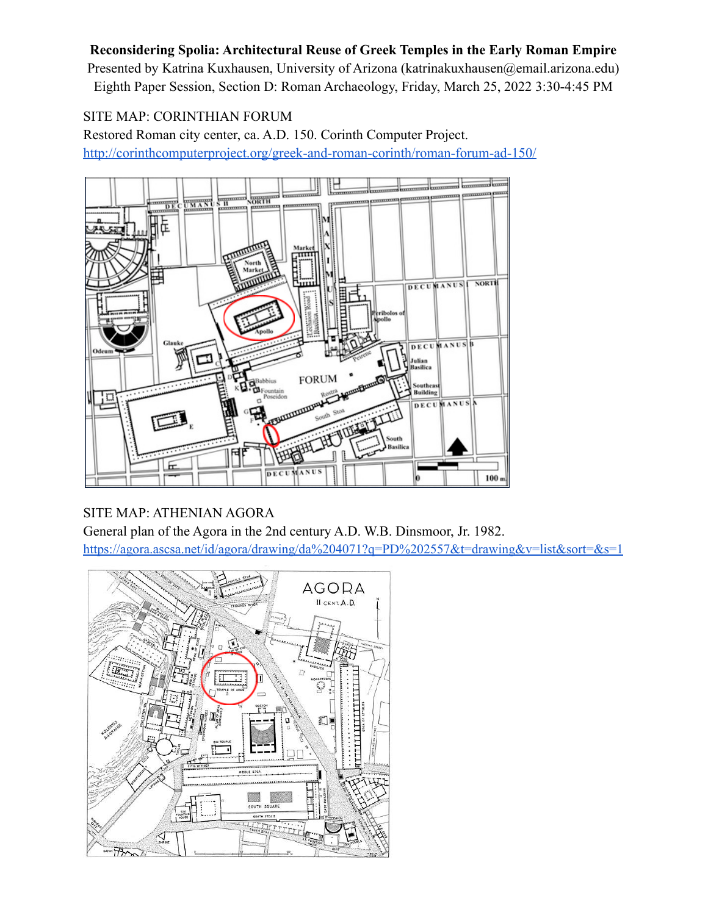## **Reconsidering Spolia: Architectural Reuse of Greek Temples in the Early Roman Empire**

Presented by Katrina Kuxhausen, University of Arizona (katrinakuxhausen@email.arizona.edu) Eighth Paper Session, Section D: Roman Archaeology, Friday, March 25, 2022 3:30-4:45 PM

## SITE MAP: CORINTHIAN FORUM

Restored Roman city center, ca. A.D. 150. Corinth Computer Project. <http://corinthcomputerproject.org/greek-and-roman-corinth/roman-forum-ad-150/>



## SITE MAP: ATHENIAN AGORA

General plan of the Agora in the 2nd century A.D. W.B. Dinsmoor, Jr. 1982. <https://agora.ascsa.net/id/agora/drawing/da%204071?q=PD%202557&t=drawing&v=list&sort=&s=1>